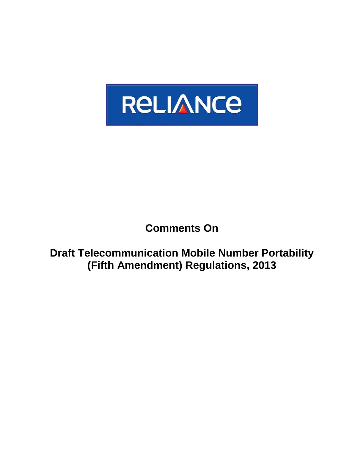

## **Comments On**

**Draft Telecommunication Mobile Number Portability (Fifth Amendment) Regulations, 2013**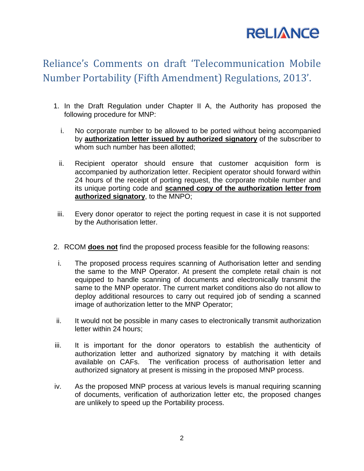## **RELIANCE**

## Reliance's Comments on draft 'Telecommunication Mobile Number Portability (Fifth Amendment) Regulations, 2013'.

- 1. In the Draft Regulation under Chapter II A, the Authority has proposed the following procedure for MNP:
	- i. No corporate number to be allowed to be ported without being accompanied by **authorization letter issued by authorized signatory** of the subscriber to whom such number has been allotted;
	- ii. Recipient operator should ensure that customer acquisition form is accompanied by authorization letter. Recipient operator should forward within 24 hours of the receipt of porting request, the corporate mobile number and its unique porting code and **scanned copy of the authorization letter from authorized signatory**, to the MNPO;
- iii. Every donor operator to reject the porting request in case it is not supported by the Authorisation letter.
- 2. RCOM **does not** find the proposed process feasible for the following reasons:
- i. The proposed process requires scanning of Authorisation letter and sending the same to the MNP Operator. At present the complete retail chain is not equipped to handle scanning of documents and electronically transmit the same to the MNP operator. The current market conditions also do not allow to deploy additional resources to carry out required job of sending a scanned image of authorization letter to the MNP Operator;
- ii. It would not be possible in many cases to electronically transmit authorization letter within 24 hours;
- iii. It is important for the donor operators to establish the authenticity of authorization letter and authorized signatory by matching it with details available on CAFs. The verification process of authorisation letter and authorized signatory at present is missing in the proposed MNP process.
- iv. As the proposed MNP process at various levels is manual requiring scanning of documents, verification of authorization letter etc, the proposed changes are unlikely to speed up the Portability process.